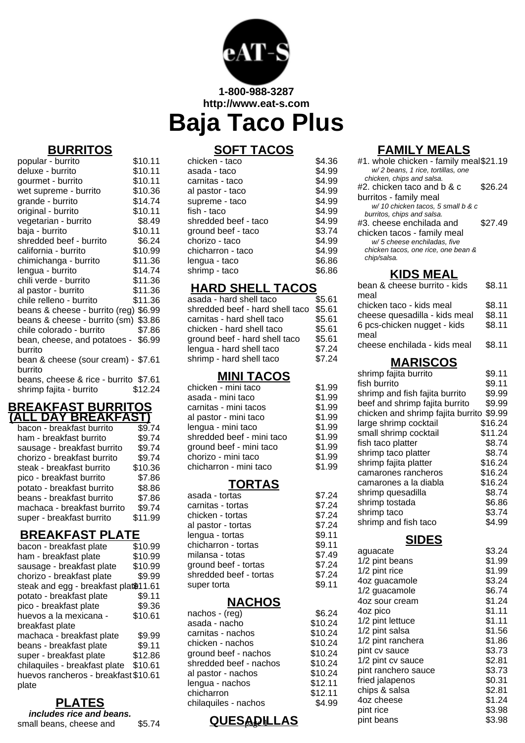

**1-800-988-3287 http://www.eat-s.com**

# **Baja Taco Plus**

### **BURRITOS**

| popular - burrito                     | \$10.11 |
|---------------------------------------|---------|
| deluxe - burrito                      | \$10.11 |
| gourmet - burrito                     | \$10.11 |
| wet supreme - burrito                 | \$10.36 |
| grande - burrito                      | \$14.74 |
| original - burrito                    | \$10.11 |
| vegetarian - burrito                  | \$8.49  |
| baja - burrito                        | \$10.11 |
| shredded beef - burrito               | \$6.24  |
| california - burrito                  | \$10.99 |
| chimichanga - burrito                 | \$11.36 |
| lengua - burrito                      | \$14.74 |
| chili verde - burrito                 | \$11.36 |
| al pastor - burrito                   | \$11.36 |
| chile relleno - burrito               | \$11.36 |
| beans & cheese - burrito (reg) \$6.99 |         |
| beans & cheese - burrito (sm) \$3.86  |         |
| chile colorado - burrito              | \$7.86  |
| bean, cheese, and potatoes - \$6.99   |         |
| burrito                               |         |
| bean & cheese (sour cream) - \$7.61   |         |
| burrito                               |         |
| beans, cheese & rice - burrito \$7.61 |         |
| shrimp fajita - burrito               | \$12.24 |

### **BREAKFAST BURRITOS (ALL DAY BREAKFAST)**

| bacon - breakfast burrito   | \$9.74  |
|-----------------------------|---------|
| ham - breakfast burrito     | \$9.74  |
| sausage - breakfast burrito | \$9.74  |
| chorizo - breakfast burrito | \$9.74  |
| steak - breakfast burrito   | \$10.36 |
| pico - breakfast burrito    | \$7.86  |
| potato - breakfast burrito  | \$8.86  |
| beans - breakfast burrito   | \$7.86  |
| machaca - breakfast burrito | \$9.74  |
| super - breakfast burrito   | \$11.99 |
|                             |         |

## **BREAKFAST PLATE**

| bacon - breakfast plate               | \$10.99 |
|---------------------------------------|---------|
| ham - breakfast plate                 | \$10.99 |
| sausage - breakfast plate             | \$10.99 |
| chorizo - breakfast plate             | \$9.99  |
| steak and egg - breakfast plat\$11.61 |         |
| potato - breakfast plate              | \$9.11  |
| pico - breakfast plate                | \$9.36  |
| huevos a la mexicana -                | \$10.61 |
| breakfast plate                       |         |
| machaca - breakfast plate             | \$9.99  |
| beans - breakfast plate               | \$9.11  |
| super - breakfast plate               | \$12.86 |
| chilaquiles - breakfast plate         | \$10.61 |
| huevos rancheros - breakfast \$10.61  |         |
| plate                                 |         |
|                                       |         |

# **PLATES**

**includes rice and beans.** small beans, cheese and \$5.74

# **SOFT TACOS**

| chicken - taco       | \$4.36 |
|----------------------|--------|
| asada - taco         | \$4.99 |
| carnitas - taco      | \$4.99 |
| al pastor - taco     | \$4.99 |
| supreme - taco       | \$4.99 |
| fish - taco          | \$4.99 |
| shredded beef - taco | \$4.99 |
| ground beef - taco   | \$3.74 |
| chorizo - taco       | \$4.99 |
| chicharron - taco    | \$4.99 |
| lengua - taco        | \$6.86 |
| shrimp - taco        | \$6.86 |
|                      |        |

### **HARD SHELL TACOS**

| shredded beef - hard shell taco<br>carnitas - hard shell taco<br>chicken - hard shell taco<br>ground beef - hard shell taco<br>lengua - hard shell taco | asada - hard shell taco  | \$5.61 |
|---------------------------------------------------------------------------------------------------------------------------------------------------------|--------------------------|--------|
|                                                                                                                                                         |                          | \$5.61 |
|                                                                                                                                                         |                          | \$5.61 |
|                                                                                                                                                         |                          | \$5.61 |
|                                                                                                                                                         |                          | \$5.61 |
|                                                                                                                                                         |                          | \$7.24 |
|                                                                                                                                                         | shrimp - hard shell taco | \$7.24 |

### **MINI TACOS**

| chicken - mini taco       | \$1.99 |
|---------------------------|--------|
| asada - mini taco         | \$1.99 |
| carnitas - mini tacos     | \$1.99 |
| al pastor - mini taco     | \$1.99 |
| lengua - mini taco        | \$1.99 |
| shredded beef - mini taco | \$1.99 |
| ground beef - mini taco   | \$1.99 |
| chorizo - mini taco       | \$1.99 |
| chicharron - mini taco    | \$1.99 |
|                           |        |

### **TORTAS**

 $$7.24$  $$7.24$  $$7.24$  $$7.24$  $$9.11$  $$9.11$  $$7.49$  $$7.24$  $$7.24$  $$9.11$ 

| asada - tortas         |
|------------------------|
| carnitas - tortas      |
| chicken - tortas       |
| al pastor - tortas     |
| lengua - tortas        |
| chicharron - tortas    |
| milansa - totas        |
| ground beef - tortas   |
| shredded beef - tortas |
| super torta            |
|                        |

### **NACHOS**

| nachos - (reg)         | \$6.24  |
|------------------------|---------|
| asada - nacho          | \$10.24 |
| carnitas - nachos      | \$10.24 |
| chicken - nachos       | \$10.24 |
| ground beef - nachos   | \$10.24 |
| shredded beef - nachos | \$10.24 |
| al pastor - nachos     | \$10.24 |
| lengua - nachos        | \$12.11 |
| chicharron             | \$12.11 |
| chilaquiles - nachos   | \$4.99  |
|                        |         |

# **FAMILY MEALS**

| #1. whole chicken - family meal\$21.19<br>w/2 beans, 1 rice, tortillas, one |         |
|-----------------------------------------------------------------------------|---------|
| chicken, chips and salsa.                                                   |         |
| $#2$ , chicken taco and b & c.                                              | \$26.24 |
| burritos - family meal                                                      |         |
| w/ 10 chicken tacos, 5 small b & c                                          |         |
| burritos, chips and salsa.                                                  |         |
| #3, cheese enchilada and                                                    | \$27.49 |
| chicken tacos - family meal                                                 |         |
| w/5 cheese enchiladas, five                                                 |         |
| chicken tacos, one rice, one bean &                                         |         |
| chip/salsa.                                                                 |         |
|                                                                             |         |

# **KIDS MEAL**

| bean & cheese burrito - kids<br>meal                                                             | \$8.11                     |
|--------------------------------------------------------------------------------------------------|----------------------------|
| chicken taco - kids meal<br>cheese quesadilla - kids meal<br>6 pcs-chicken nugget - kids<br>meal | \$8.11<br>\$8.11<br>\$8.11 |
| cheese enchilada - kids meal                                                                     | \$8.11                     |
| <b>MARISCOS</b>                                                                                  |                            |
| shrimp fajita burrito                                                                            | \$9.11                     |
| fish burrito                                                                                     | \$9.11                     |
| shrimp and fish fajita burrito                                                                   | \$9.99                     |
| beef and shrimn faiita hurrito                                                                   | \$9.99                     |

| shrimp and lish lajita burnto            | ৯৯.৯৯   |
|------------------------------------------|---------|
| beef and shrimp fajita burrito           | \$9.99  |
| chicken and shrimp fajita burrito \$9.99 |         |
| large shrimp cocktail                    | \$16.24 |
| small shrimp cocktail                    | \$11.24 |
| fish taco platter                        | \$8.74  |
| shrimp taco platter                      | \$8.74  |
| shrimp fajita platter                    | \$16.24 |
| camarones rancheros                      | \$16.24 |
| camarones a la diabla                    | \$16.24 |
| shrimp quesadilla                        | \$8.74  |
| shrimp tostada                           | \$6.86  |
| shrimp taco                              | \$3.74  |
| shrimp and fish taco                     | \$4.99  |

### **SIDES**

| sa - totas<br>d beef - tortas<br>ded beef - tortas<br>torta | .<br>\$7.49<br>\$7.24<br>\$7.24<br>\$9.11 | aguacate<br>1/2 pint beans<br>1/2 pint rice<br>4oz guacamole<br>1/2 guacamole | \$3.24<br>\$1.99<br>\$1.99<br>\$3.24<br>\$6.74 |
|-------------------------------------------------------------|-------------------------------------------|-------------------------------------------------------------------------------|------------------------------------------------|
| <b>NACHOS</b>                                               |                                           | 4oz sour cream                                                                | \$1.24                                         |
| )s - (reg)                                                  | \$6.24                                    | 4oz pico                                                                      | \$1.11                                         |
| ւ - nacho                                                   | \$10.24                                   | 1/2 pint lettuce                                                              | \$1.11                                         |
| as - nachos                                                 | \$10.24                                   | 1/2 pint salsa                                                                | \$1.56                                         |
| en - nachos                                                 | \$10.24                                   | 1/2 pint ranchera                                                             | \$1.86                                         |
| d beef - nachos                                             | \$10.24                                   | pint cv sauce                                                                 | \$3.73                                         |
| ded beef - nachos                                           | \$10.24                                   | 1/2 pint cv sauce                                                             | \$2.81                                         |
| tor - nachos                                                | \$10.24                                   | pint ranchero sauce                                                           | \$3.73                                         |
| a - nachos                                                  | \$12.11                                   | fried jalapenos                                                               | \$0.31                                         |
| arron                                                       | \$12.11                                   | chips & salsa                                                                 | \$2.81                                         |
| uiles - nachos                                              | \$4.99                                    | 4oz cheese                                                                    | \$1.24                                         |
|                                                             |                                           | pint rice                                                                     | \$3.98                                         |
| <u>QUESADILLAS</u>                                          |                                           | pint beans                                                                    | \$3.98                                         |
|                                                             |                                           |                                                                               |                                                |